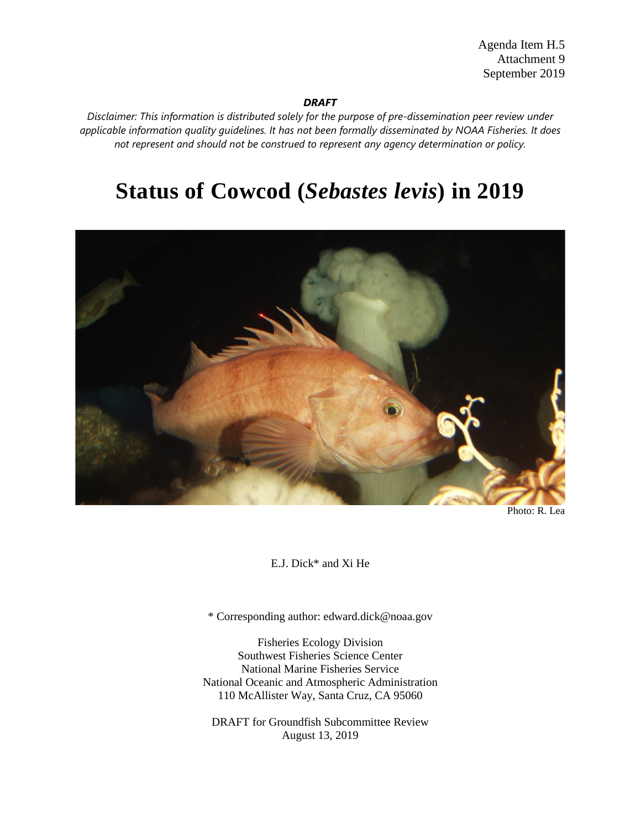Agenda Item H.5 Attachment 9 September 2019

#### *DRAFT*

*Disclaimer: This information is distributed solely for the purpose of pre-dissemination peer review under applicable information quality guidelines. It has not been formally disseminated by NOAA Fisheries. It does not represent and should not be construed to represent any agency determination or policy.*

# **Status of Cowcod (***Sebastes levis***) in 2019**



E.J. Dick\* and Xi He

\* Corresponding author: edward.dick@noaa.gov

Fisheries Ecology Division Southwest Fisheries Science Center National Marine Fisheries Service National Oceanic and Atmospheric Administration 110 McAllister Way, Santa Cruz, CA 95060

DRAFT for Groundfish Subcommittee Review August 13, 2019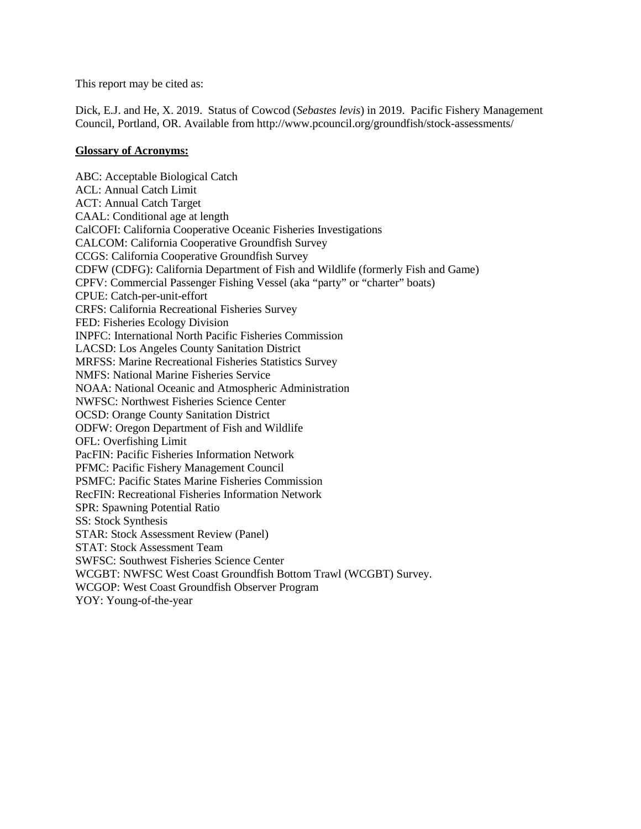This report may be cited as:

Dick, E.J. and He, X. 2019. Status of Cowcod (*Sebastes levis*) in 2019. Pacific Fishery Management Council, Portland, OR. Available from http://www.pcouncil.org/groundfish/stock-assessments/

#### **Glossary of Acronyms:**

ABC: Acceptable Biological Catch ACL: Annual Catch Limit ACT: Annual Catch Target CAAL: Conditional age at length CalCOFI: California Cooperative Oceanic Fisheries Investigations CALCOM: California Cooperative Groundfish Survey CCGS: California Cooperative Groundfish Survey CDFW (CDFG): California Department of Fish and Wildlife (formerly Fish and Game) CPFV: Commercial Passenger Fishing Vessel (aka "party" or "charter" boats) CPUE: Catch-per-unit-effort CRFS: California Recreational Fisheries Survey FED: Fisheries Ecology Division INPFC: International North Pacific Fisheries Commission LACSD: Los Angeles County Sanitation District MRFSS: Marine Recreational Fisheries Statistics Survey NMFS: National Marine Fisheries Service NOAA: National Oceanic and Atmospheric Administration NWFSC: Northwest Fisheries Science Center OCSD: Orange County Sanitation District ODFW: Oregon Department of Fish and Wildlife OFL: Overfishing Limit PacFIN: Pacific Fisheries Information Network PFMC: Pacific Fishery Management Council PSMFC: Pacific States Marine Fisheries Commission RecFIN: Recreational Fisheries Information Network SPR: Spawning Potential Ratio SS: Stock Synthesis STAR: Stock Assessment Review (Panel) STAT: Stock Assessment Team SWFSC: Southwest Fisheries Science Center WCGBT: NWFSC West Coast Groundfish Bottom Trawl (WCGBT) Survey. WCGOP: West Coast Groundfish Observer Program YOY: Young-of-the-year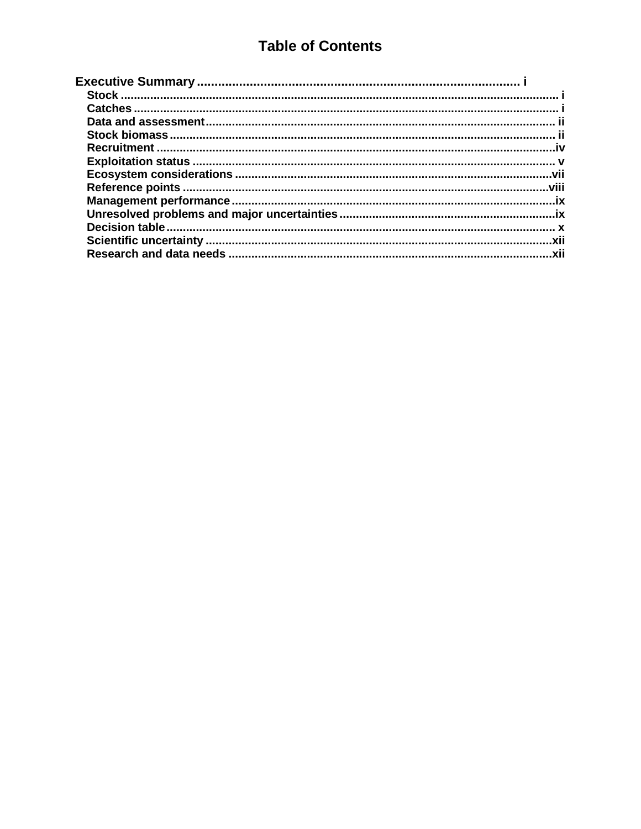## **Table of Contents**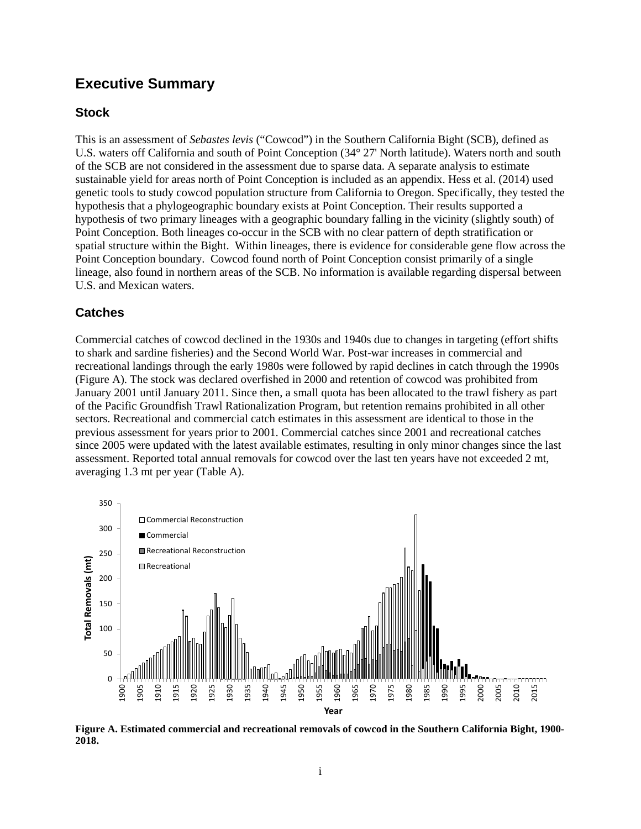## <span id="page-3-0"></span>**Executive Summary**

## <span id="page-3-1"></span>**Stock**

This is an assessment of *Sebastes levis* ("Cowcod") in the Southern California Bight (SCB), defined as U.S. waters off California and south of Point Conception (34° 27' North latitude). Waters north and south of the SCB are not considered in the assessment due to sparse data. A separate analysis to estimate sustainable yield for areas north of Point Conception is included as an appendix. Hess et al. (2014) used genetic tools to study cowcod population structure from California to Oregon. Specifically, they tested the hypothesis that a phylogeographic boundary exists at Point Conception. Their results supported a hypothesis of two primary lineages with a geographic boundary falling in the vicinity (slightly south) of Point Conception. Both lineages co-occur in the SCB with no clear pattern of depth stratification or spatial structure within the Bight. Within lineages, there is evidence for considerable gene flow across the Point Conception boundary. Cowcod found north of Point Conception consist primarily of a single lineage, also found in northern areas of the SCB. No information is available regarding dispersal between U.S. and Mexican waters.

## <span id="page-3-2"></span>**Catches**

Commercial catches of cowcod declined in the 1930s and 1940s due to changes in targeting (effort shifts to shark and sardine fisheries) and the Second World War. Post-war increases in commercial and recreational landings through the early 1980s were followed by rapid declines in catch through the 1990s (Figure A). The stock was declared overfished in 2000 and retention of cowcod was prohibited from January 2001 until January 2011. Since then, a small quota has been allocated to the trawl fishery as part of the Pacific Groundfish Trawl Rationalization Program, but retention remains prohibited in all other sectors. Recreational and commercial catch estimates in this assessment are identical to those in the previous assessment for years prior to 2001. Commercial catches since 2001 and recreational catches since 2005 were updated with the latest available estimates, resulting in only minor changes since the last assessment. Reported total annual removals for cowcod over the last ten years have not exceeded 2 mt, averaging 1.3 mt per year (Table A).



**Figure A. Estimated commercial and recreational removals of cowcod in the Southern California Bight, 1900- 2018.**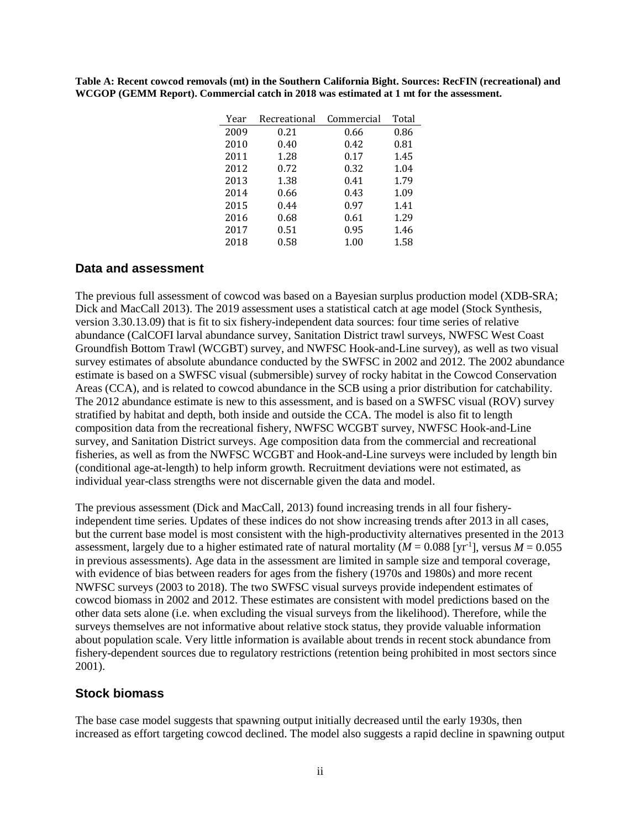**Table A: Recent cowcod removals (mt) in the Southern California Bight. Sources: RecFIN (recreational) and WCGOP (GEMM Report). Commercial catch in 2018 was estimated at 1 mt for the assessment.**

| Year | Recreational | Commercial | Total |
|------|--------------|------------|-------|
| 2009 | 0.21         | 0.66       | 0.86  |
| 2010 | 0.40         | 0.42       | 0.81  |
| 2011 | 1.28         | 0.17       | 1.45  |
| 2012 | 0.72         | 0.32       | 1.04  |
| 2013 | 1.38         | 0.41       | 1.79  |
| 2014 | 0.66         | 0.43       | 1.09  |
| 2015 | 0.44         | 0.97       | 1.41  |
| 2016 | 0.68         | 0.61       | 1.29  |
| 2017 | 0.51         | 0.95       | 1.46  |
| 2018 | 0.58         | 1.00       | 1.58  |

#### <span id="page-4-0"></span>**Data and assessment**

The previous full assessment of cowcod was based on a Bayesian surplus production model (XDB-SRA; Dick and MacCall 2013). The 2019 assessment uses a statistical catch at age model (Stock Synthesis, version 3.30.13.09) that is fit to six fishery-independent data sources: four time series of relative abundance (CalCOFI larval abundance survey, Sanitation District trawl surveys, NWFSC West Coast Groundfish Bottom Trawl (WCGBT) survey, and NWFSC Hook-and-Line survey), as well as two visual survey estimates of absolute abundance conducted by the SWFSC in 2002 and 2012. The 2002 abundance estimate is based on a SWFSC visual (submersible) survey of rocky habitat in the Cowcod Conservation Areas (CCA), and is related to cowcod abundance in the SCB using a prior distribution for catchability. The 2012 abundance estimate is new to this assessment, and is based on a SWFSC visual (ROV) survey stratified by habitat and depth, both inside and outside the CCA. The model is also fit to length composition data from the recreational fishery, NWFSC WCGBT survey, NWFSC Hook-and-Line survey, and Sanitation District surveys. Age composition data from the commercial and recreational fisheries, as well as from the NWFSC WCGBT and Hook-and-Line surveys were included by length bin (conditional age-at-length) to help inform growth. Recruitment deviations were not estimated, as individual year-class strengths were not discernable given the data and model.

The previous assessment (Dick and MacCall, 2013) found increasing trends in all four fisheryindependent time series. Updates of these indices do not show increasing trends after 2013 in all cases, but the current base model is most consistent with the high-productivity alternatives presented in the 2013 assessment, largely due to a higher estimated rate of natural mortality  $(M = 0.088$  [yr<sup>-1</sup>], versus  $M = 0.055$ in previous assessments). Age data in the assessment are limited in sample size and temporal coverage, with evidence of bias between readers for ages from the fishery (1970s and 1980s) and more recent NWFSC surveys (2003 to 2018). The two SWFSC visual surveys provide independent estimates of cowcod biomass in 2002 and 2012. These estimates are consistent with model predictions based on the other data sets alone (i.e. when excluding the visual surveys from the likelihood). Therefore, while the surveys themselves are not informative about relative stock status, they provide valuable information about population scale. Very little information is available about trends in recent stock abundance from fishery-dependent sources due to regulatory restrictions (retention being prohibited in most sectors since 2001).

#### <span id="page-4-1"></span>**Stock biomass**

The base case model suggests that spawning output initially decreased until the early 1930s, then increased as effort targeting cowcod declined. The model also suggests a rapid decline in spawning output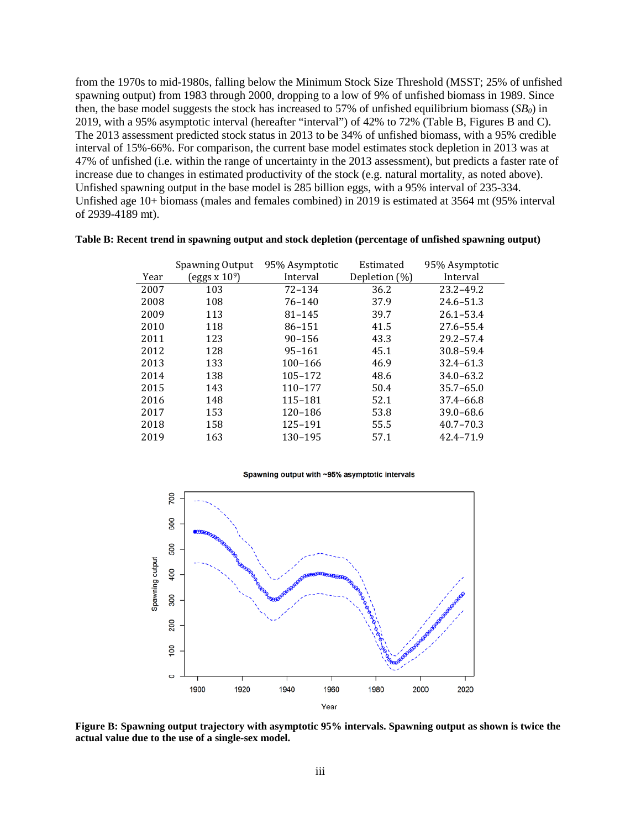from the 1970s to mid-1980s, falling below the Minimum Stock Size Threshold (MSST; 25% of unfished spawning output) from 1983 through 2000, dropping to a low of 9% of unfished biomass in 1989. Since then, the base model suggests the stock has increased to 57% of unfished equilibrium biomass (*SB0*) in 2019, with a 95% asymptotic interval (hereafter "interval") of 42% to 72% (Table B, Figures B and C). The 2013 assessment predicted stock status in 2013 to be 34% of unfished biomass, with a 95% credible interval of 15%-66%. For comparison, the current base model estimates stock depletion in 2013 was at 47% of unfished (i.e. within the range of uncertainty in the 2013 assessment), but predicts a faster rate of increase due to changes in estimated productivity of the stock (e.g. natural mortality, as noted above). Unfished spawning output in the base model is 285 billion eggs, with a 95% interval of 235-334. Unfished age 10+ biomass (males and females combined) in 2019 is estimated at 3564 mt (95% interval of 2939-4189 mt).

|      | Spawning Output | 95% Asymptotic | Estimated     | 95% Asymptotic |
|------|-----------------|----------------|---------------|----------------|
| Year | eggs x $109$ )  | Interval       | Depletion (%) | Interval       |
| 2007 | 103             | $72 - 134$     | 36.2          | $23.2 - 49.2$  |
| 2008 | 108             | 76-140         | 37.9          | $24.6 - 51.3$  |
| 2009 | 113             | $81 - 145$     | 39.7          | $26.1 - 53.4$  |
| 2010 | 118             | 86-151         | 41.5          | $27.6 - 55.4$  |
| 2011 | 123             | $90 - 156$     | 43.3          | $29.2 - 57.4$  |
| 2012 | 128             | 95-161         | 45.1          | $30.8 - 59.4$  |
| 2013 | 133             | 100-166        | 46.9          | $32.4 - 61.3$  |
| 2014 | 138             | 105-172        | 48.6          | $34.0 - 63.2$  |
| 2015 | 143             | 110-177        | 50.4          | $35.7 - 65.0$  |
| 2016 | 148             | 115-181        | 52.1          | 37.4-66.8      |
| 2017 | 153             | 120-186        | 53.8          | $39.0 - 68.6$  |
| 2018 | 158             | 125–191        | 55.5          | $40.7 - 70.3$  |
| 2019 | 163             | 130-195        | 57.1          | 42.4-71.9      |
|      |                 |                |               |                |

#### **Table B: Recent trend in spawning output and stock depletion (percentage of unfished spawning output)**

Spawning output with ~95% asymptotic intervals



**Figure B: Spawning output trajectory with asymptotic 95% intervals. Spawning output as shown is twice the actual value due to the use of a single-sex model.**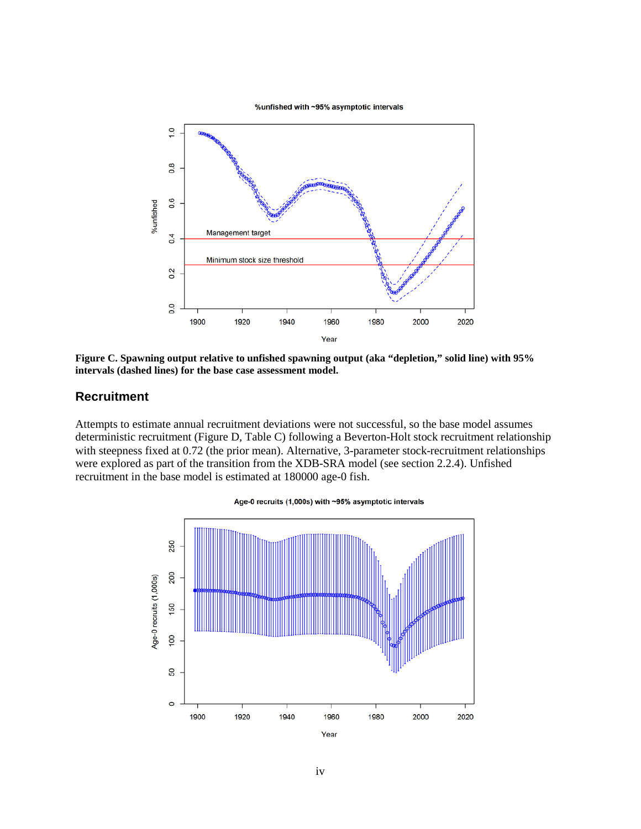%unfished with ~95% asymptotic intervals



**Figure C. Spawning output relative to unfished spawning output (aka "depletion," solid line) with 95% intervals (dashed lines) for the base case assessment model.**

#### <span id="page-6-0"></span>**Recruitment**

Attempts to estimate annual recruitment deviations were not successful, so the base model assumes deterministic recruitment (Figure D, Table C) following a Beverton-Holt stock recruitment relationship with steepness fixed at 0.72 (the prior mean). Alternative, 3-parameter stock-recruitment relationships were explored as part of the transition from the XDB-SRA model (see section 2.2.4). Unfished recruitment in the base model is estimated at 180000 age-0 fish.



Age-0 recruits (1,000s) with ~95% asymptotic intervals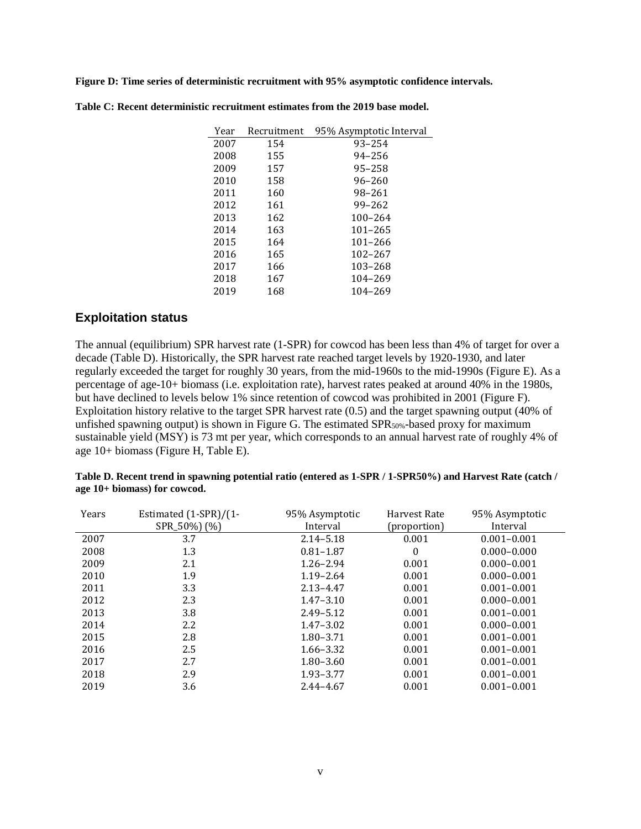**Figure D: Time series of deterministic recruitment with 95% asymptotic confidence intervals.**

| Year | Recruitment | 95% Asymptotic Interval |
|------|-------------|-------------------------|
| 2007 | 154         | $93 - 254$              |
| 2008 | 155         | 94-256                  |
| 2009 | 157         | 95-258                  |
| 2010 | 158         | 96-260                  |
| 2011 | 160         | 98-261                  |
| 2012 | 161         | 99-262                  |
| 2013 | 162         | 100-264                 |
| 2014 | 163         | $101 - 265$             |
| 2015 | 164         | 101-266                 |
| 2016 | 165         | 102-267                 |
| 2017 | 166         | 103-268                 |
| 2018 | 167         | 104-269                 |
| 2019 | 168         | 104-269                 |

**Table C: Recent deterministic recruitment estimates from the 2019 base model.**

#### <span id="page-7-0"></span>**Exploitation status**

The annual (equilibrium) SPR harvest rate (1-SPR) for cowcod has been less than 4% of target for over a decade (Table D). Historically, the SPR harvest rate reached target levels by 1920-1930, and later regularly exceeded the target for roughly 30 years, from the mid-1960s to the mid-1990s (Figure E). As a percentage of age-10+ biomass (i.e. exploitation rate), harvest rates peaked at around 40% in the 1980s, but have declined to levels below 1% since retention of cowcod was prohibited in 2001 (Figure F). Exploitation history relative to the target SPR harvest rate (0.5) and the target spawning output (40% of unfished spawning output) is shown in Figure G. The estimated SPR<sub>50%</sub>-based proxy for maximum sustainable yield (MSY) is 73 mt per year, which corresponds to an annual harvest rate of roughly 4% of age 10+ biomass (Figure H, Table E).

| Table D. Recent trend in spawning potential ratio (entered as 1-SPR / 1-SPR50%) and Harvest Rate (catch / |  |
|-----------------------------------------------------------------------------------------------------------|--|
| age $10+$ biomass) for cowcod.                                                                            |  |

| Years | Estimated (1-SPR)/(1-<br>SPR_50%) (%) | 95% Asymptotic<br>Interval | Harvest Rate<br>(proportion) | 95% Asymptotic<br>Interval |
|-------|---------------------------------------|----------------------------|------------------------------|----------------------------|
| 2007  | 3.7                                   | $2.14 - 5.18$              | 0.001                        | $0.001 - 0.001$            |
| 2008  | 1.3                                   | $0.81 - 1.87$              | $\bf{0}$                     | $0.000 - 0.000$            |
| 2009  | 2.1                                   | $1.26 - 2.94$              | 0.001                        | $0.000 - 0.001$            |
| 2010  | 1.9                                   | $1.19 - 2.64$              | 0.001                        | $0.000 - 0.001$            |
| 2011  | 3.3                                   | $2.13 - 4.47$              | 0.001                        | $0.001 - 0.001$            |
| 2012  | 2.3                                   | $1.47 - 3.10$              | 0.001                        | $0.000 - 0.001$            |
| 2013  | 3.8                                   | $2.49 - 5.12$              | 0.001                        | $0.001 - 0.001$            |
| 2014  | 2.2                                   | $1.47 - 3.02$              | 0.001                        | $0.000 - 0.001$            |
| 2015  | 2.8                                   | $1.80 - 3.71$              | 0.001                        | $0.001 - 0.001$            |
| 2016  | 2.5                                   | 1.66–3.32                  | 0.001                        | $0.001 - 0.001$            |
| 2017  | 2.7                                   | $1.80 - 3.60$              | 0.001                        | $0.001 - 0.001$            |
| 2018  | 2.9                                   | 1.93 - 3.77                | 0.001                        | $0.001 - 0.001$            |
| 2019  | 3.6                                   | $2.44 - 4.67$              | 0.001                        | $0.001 - 0.001$            |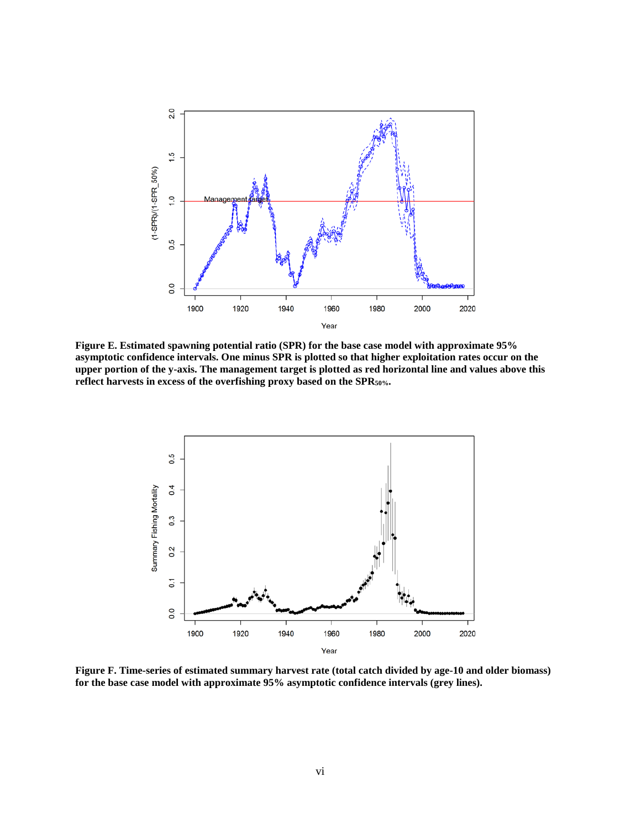

**Figure E. Estimated spawning potential ratio (SPR) for the base case model with approximate 95% asymptotic confidence intervals. One minus SPR is plotted so that higher exploitation rates occur on the upper portion of the y-axis. The management target is plotted as red horizontal line and values above this reflect harvests in excess of the overfishing proxy based on the SPR50%.**



**Figure F. Time-series of estimated summary harvest rate (total catch divided by age-10 and older biomass) for the base case model with approximate 95% asymptotic confidence intervals (grey lines).**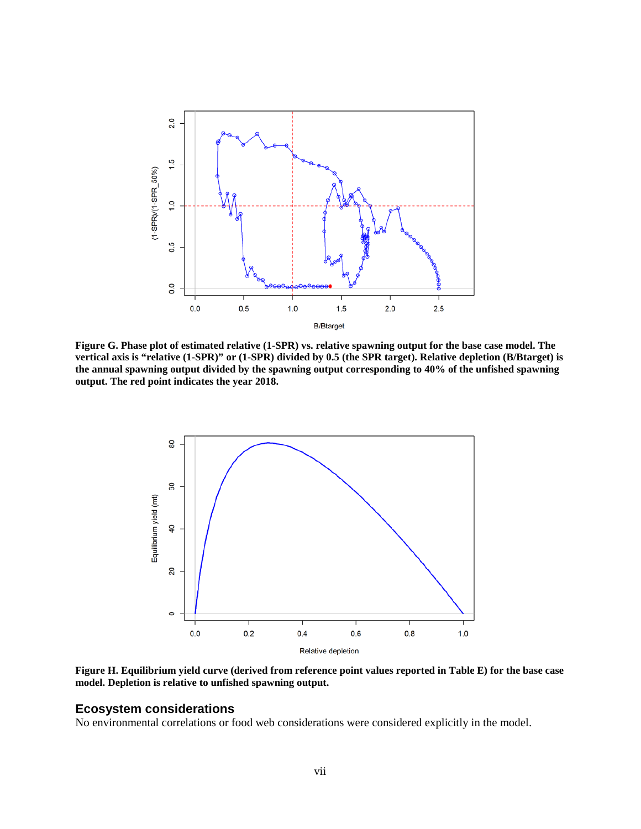

**Figure G. Phase plot of estimated relative (1-SPR) vs. relative spawning output for the base case model. The vertical axis is "relative (1-SPR)" or (1-SPR) divided by 0.5 (the SPR target). Relative depletion (B/Btarget) is the annual spawning output divided by the spawning output corresponding to 40% of the unfished spawning output. The red point indicates the year 2018.**



**Figure H. Equilibrium yield curve (derived from reference point values reported in Table E) for the base case model. Depletion is relative to unfished spawning output.**

#### <span id="page-9-0"></span>**Ecosystem considerations**

No environmental correlations or food web considerations were considered explicitly in the model.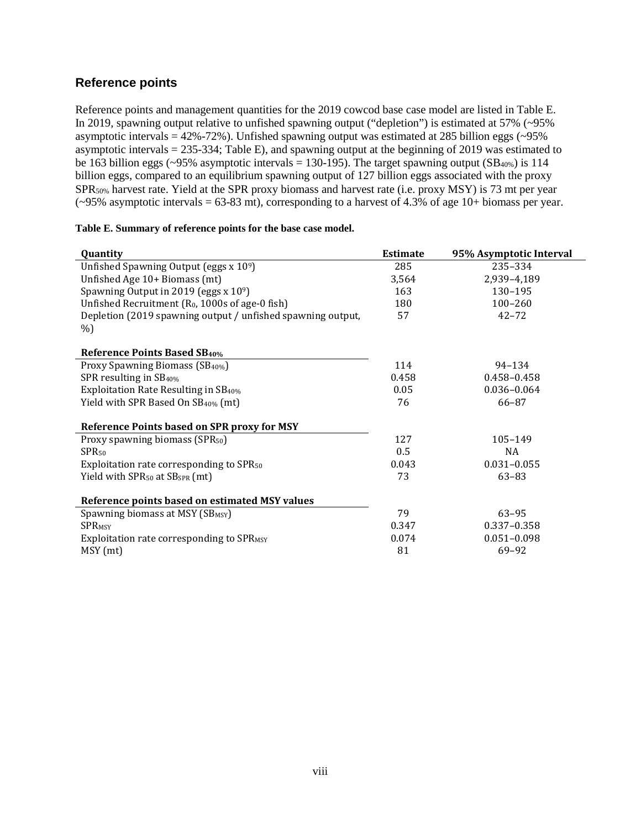## <span id="page-10-0"></span>**Reference points**

Reference points and management quantities for the 2019 cowcod base case model are listed in Table E. In 2019, spawning output relative to unfished spawning output ("depletion") is estimated at 57% (~95% asymptotic intervals =  $42\% - 72\%$ ). Unfished spawning output was estimated at 285 billion eggs ( $\sim$ 95%) asymptotic intervals = 235-334; Table E), and spawning output at the beginning of 2019 was estimated to be 163 billion eggs (~95% asymptotic intervals = 130-195). The target spawning output  $(SB_{40\%})$  is 114 billion eggs, compared to an equilibrium spawning output of 127 billion eggs associated with the proxy SPR50% harvest rate. Yield at the SPR proxy biomass and harvest rate (i.e. proxy MSY) is 73 mt per year (~95% asymptotic intervals = 63-83 mt), corresponding to a harvest of 4.3% of age 10+ biomass per year.

| Quantity                                                    | <b>Estimate</b> | 95% Asymptotic Interval |
|-------------------------------------------------------------|-----------------|-------------------------|
| Unfished Spawning Output (eggs x 109)                       | 285             | 235-334                 |
| Unfished Age 10+ Biomass (mt)                               | 3,564           | 2,939-4,189             |
| Spawning Output in 2019 (eggs $x 10^9$ )                    | 163             | 130-195                 |
| Unfished Recruitment (R <sub>0</sub> , 1000s of age-0 fish) | 180             | $100 - 260$             |
| Depletion (2019 spawning output / unfished spawning output, | 57              | $42 - 72$               |
| %)                                                          |                 |                         |
| <b>Reference Points Based SB40%</b>                         |                 |                         |
| Proxy Spawning Biomass (SB <sub>40%</sub> )                 | 114             | $94 - 134$              |
| SPR resulting in SB <sub>40%</sub>                          | 0.458           | 0.458-0.458             |
| Exploitation Rate Resulting in SB <sub>40%</sub>            | 0.05            | $0.036 - 0.064$         |
| Yield with SPR Based On SB <sub>40%</sub> (mt)              | 76              | 66-87                   |
| Reference Points based on SPR proxy for MSY                 |                 |                         |
| Proxy spawning biomass (SPR <sub>50</sub> )                 | 127             | 105-149                 |
| SPR <sub>50</sub>                                           | 0.5             | NA                      |
| Exploitation rate corresponding to SPR <sub>50</sub>        | 0.043           | $0.031 - 0.055$         |
| Yield with SPR <sub>50</sub> at SB <sub>SPR</sub> (mt)      | 73              | $63 - 83$               |
| Reference points based on estimated MSY values              |                 |                         |
| Spawning biomass at MSY (SB <sub>MSY</sub> )                | 79              | $63 - 95$               |
| <b>SPRMSY</b>                                               | 0.347           | $0.337 - 0.358$         |
| Exploitation rate corresponding to SPR <sub>MSY</sub>       | 0.074           | $0.051 - 0.098$         |
| MSY (mt)                                                    | 81              | 69-92                   |

#### **Table E. Summary of reference points for the base case model.**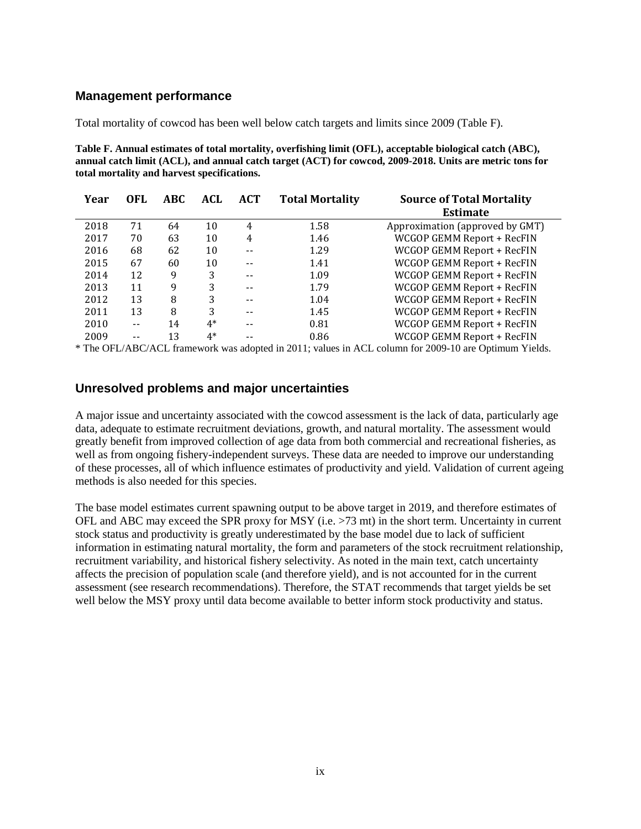#### <span id="page-11-0"></span>**Management performance**

Total mortality of cowcod has been well below catch targets and limits since 2009 (Table F).

**Table F. Annual estimates of total mortality, overfishing limit (OFL), acceptable biological catch (ABC), annual catch limit (ACL), and annual catch target (ACT) for cowcod, 2009-2018. Units are metric tons for total mortality and harvest specifications.**

| Year | OFL.  | <b>ABC</b> | ACL  | <b>ACT</b> | <b>Total Mortality</b> | <b>Source of Total Mortality</b><br><b>Estimate</b> |
|------|-------|------------|------|------------|------------------------|-----------------------------------------------------|
| 2018 | 71    | 64         | 10   | 4          | 1.58                   | Approximation (approved by GMT)                     |
| 2017 | 70    | 63         | 10   | 4          | 1.46                   | WCGOP GEMM Report + RecFIN                          |
| 2016 | 68    | 62         | 10   | $- -$      | 1.29                   | WCGOP GEMM Report + RecFIN                          |
| 2015 | 67    | 60         | 10   |            | 1.41                   | WCGOP GEMM Report + RecFIN                          |
| 2014 | 12    | 9          | 3    |            | 1.09                   | WCGOP GEMM Report + RecFIN                          |
| 2013 | 11    | 9          | 3    | --         | 1.79                   | WCGOP GEMM Report + RecFIN                          |
| 2012 | 13    | 8          | 3    | --         | 1.04                   | WCGOP GEMM Report + RecFIN                          |
| 2011 | 13    | 8          | 3    |            | 1.45                   | WCGOP GEMM Report + RecFIN                          |
| 2010 | $- -$ | 14         | $4*$ | --         | 0.81                   | WCGOP GEMM Report + RecFIN                          |
| 2009 |       | 13         | $4*$ |            | 0.86                   | WCGOP GEMM Report + RecFIN                          |
|      |       |            |      |            |                        |                                                     |

\* The OFL/ABC/ACL framework was adopted in 2011; values in ACL column for 2009-10 are Optimum Yields.

#### <span id="page-11-1"></span>**Unresolved problems and major uncertainties**

A major issue and uncertainty associated with the cowcod assessment is the lack of data, particularly age data, adequate to estimate recruitment deviations, growth, and natural mortality. The assessment would greatly benefit from improved collection of age data from both commercial and recreational fisheries, as well as from ongoing fishery-independent surveys. These data are needed to improve our understanding of these processes, all of which influence estimates of productivity and yield. Validation of current ageing methods is also needed for this species.

The base model estimates current spawning output to be above target in 2019, and therefore estimates of OFL and ABC may exceed the SPR proxy for MSY (i.e. >73 mt) in the short term. Uncertainty in current stock status and productivity is greatly underestimated by the base model due to lack of sufficient information in estimating natural mortality, the form and parameters of the stock recruitment relationship, recruitment variability, and historical fishery selectivity. As noted in the main text, catch uncertainty affects the precision of population scale (and therefore yield), and is not accounted for in the current assessment (see research recommendations). Therefore, the STAT recommends that target yields be set well below the MSY proxy until data become available to better inform stock productivity and status.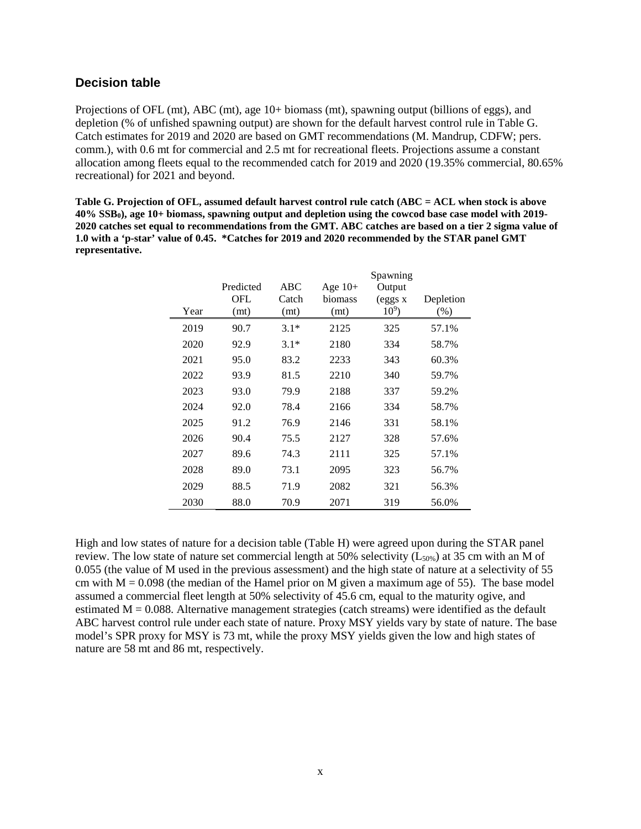#### <span id="page-12-0"></span>**Decision table**

Projections of OFL (mt), ABC (mt), age 10+ biomass (mt), spawning output (billions of eggs), and depletion (% of unfished spawning output) are shown for the default harvest control rule in Table G. Catch estimates for 2019 and 2020 are based on GMT recommendations (M. Mandrup, CDFW; pers. comm.), with 0.6 mt for commercial and 2.5 mt for recreational fleets. Projections assume a constant allocation among fleets equal to the recommended catch for 2019 and 2020 (19.35% commercial, 80.65% recreational) for 2021 and beyond.

**Table G. Projection of OFL, assumed default harvest control rule catch (ABC = ACL when stock is above 40% SSB0), age 10+ biomass, spawning output and depletion using the cowcod base case model with 2019- 2020 catches set equal to recommendations from the GMT. ABC catches are based on a tier 2 sigma value of 1.0 with a 'p-star' value of 0.45. \*Catches for 2019 and 2020 recommended by the STAR panel GMT representative.**

|      |           |        |           | Spawning |           |
|------|-----------|--------|-----------|----------|-----------|
|      | Predicted | ABC    | Age $10+$ | Output   |           |
|      | OFL       | Catch  | biomass   | (eggs x  | Depletion |
| Year | (mt)      | (mt)   | (mt)      | $10^9$ ) | $(\%)$    |
| 2019 | 90.7      | $3.1*$ | 2125      | 325      | 57.1%     |
| 2020 | 92.9      | $3.1*$ | 2180      | 334      | 58.7%     |
| 2021 | 95.0      | 83.2   | 2233      | 343      | 60.3%     |
| 2022 | 93.9      | 81.5   | 2210      | 340      | 59.7%     |
| 2023 | 93.0      | 79.9   | 2188      | 337      | 59.2%     |
| 2024 | 92.0      | 78.4   | 2166      | 334      | 58.7%     |
| 2025 | 91.2      | 76.9   | 2146      | 331      | 58.1%     |
| 2026 | 90.4      | 75.5   | 2127      | 328      | 57.6%     |
| 2027 | 89.6      | 74.3   | 2111      | 325      | 57.1%     |
| 2028 | 89.0      | 73.1   | 2095      | 323      | 56.7%     |
| 2029 | 88.5      | 71.9   | 2082      | 321      | 56.3%     |
| 2030 | 88.0      | 70.9   | 2071      | 319      | 56.0%     |

High and low states of nature for a decision table (Table H) were agreed upon during the STAR panel review. The low state of nature set commercial length at 50% selectivity  $(L_{50\%})$  at 35 cm with an M of 0.055 (the value of M used in the previous assessment) and the high state of nature at a selectivity of 55 cm with  $M = 0.098$  (the median of the Hamel prior on M given a maximum age of 55). The base model assumed a commercial fleet length at 50% selectivity of 45.6 cm, equal to the maturity ogive, and estimated  $M = 0.088$ . Alternative management strategies (catch streams) were identified as the default ABC harvest control rule under each state of nature. Proxy MSY yields vary by state of nature. The base model's SPR proxy for MSY is 73 mt, while the proxy MSY yields given the low and high states of nature are 58 mt and 86 mt, respectively.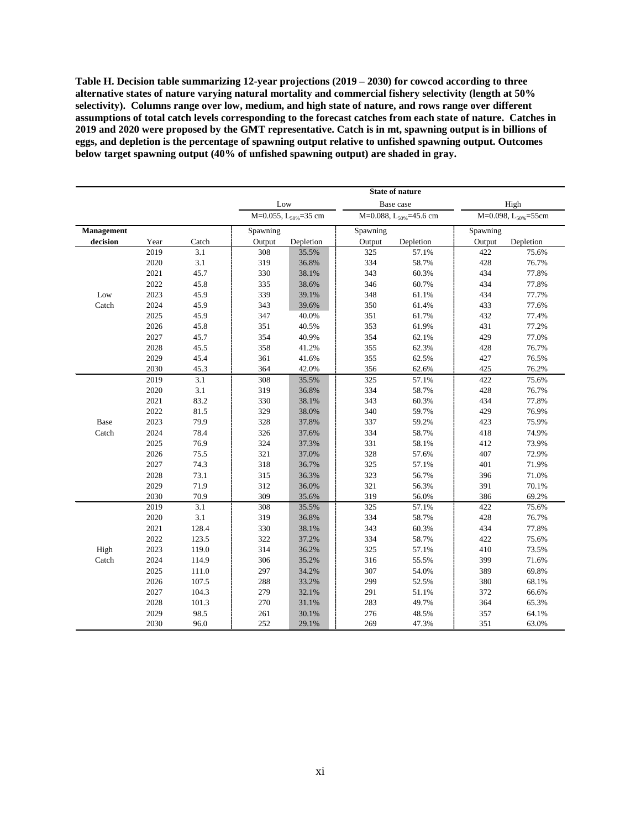**Table H. Decision table summarizing 12-year projections (2019 – 2030) for cowcod according to three alternative states of nature varying natural mortality and commercial fishery selectivity (length at 50% selectivity). Columns range over low, medium, and high state of nature, and rows range over different assumptions of total catch levels corresponding to the forecast catches from each state of nature. Catches in 2019 and 2020 were proposed by the GMT representative. Catch is in mt, spawning output is in billions of eggs, and depletion is the percentage of spawning output relative to unfished spawning output. Outcomes below target spawning output (40% of unfished spawning output) are shaded in gray.**

|            |      |       | <b>State of nature</b> |                                  |          |                              |          |                                 |  |
|------------|------|-------|------------------------|----------------------------------|----------|------------------------------|----------|---------------------------------|--|
|            |      |       | Low                    |                                  |          | High                         |          |                                 |  |
|            |      |       |                        | M=0.055, L <sub>50%</sub> =35 cm |          | M=0.088, $L_{50\%}$ =45.6 cm |          | M=0.098, L <sub>50%</sub> =55cm |  |
| Management |      |       | Spawning               |                                  | Spawning |                              | Spawning |                                 |  |
| decision   | Year | Catch | Output                 | Depletion                        | Output   | Depletion                    | Output   | Depletion                       |  |
|            | 2019 | 3.1   | 308                    | 35.5%                            | 325      | 57.1%                        | 422      | 75.6%                           |  |
|            | 2020 | 3.1   | 319                    | 36.8%                            | 334      | 58.7%                        | 428      | 76.7%                           |  |
|            | 2021 | 45.7  | 330                    | 38.1%                            | 343      | 60.3%                        | 434      | 77.8%                           |  |
|            | 2022 | 45.8  | 335                    | 38.6%                            | 346      | 60.7%                        | 434      | 77.8%                           |  |
| Low        | 2023 | 45.9  | 339                    | 39.1%                            | 348      | 61.1%                        | 434      | 77.7%                           |  |
| Catch      | 2024 | 45.9  | 343                    | 39.6%                            | 350      | 61.4%                        | 433      | 77.6%                           |  |
|            | 2025 | 45.9  | 347                    | 40.0%                            | 351      | 61.7%                        | 432      | 77.4%                           |  |
|            | 2026 | 45.8  | 351                    | 40.5%                            | 353      | 61.9%                        | 431      | 77.2%                           |  |
|            | 2027 | 45.7  | 354                    | 40.9%                            | 354      | 62.1%                        | 429      | 77.0%                           |  |
|            | 2028 | 45.5  | 358                    | 41.2%                            | 355      | 62.3%                        | 428      | 76.7%                           |  |
|            | 2029 | 45.4  | 361                    | 41.6%                            | 355      | 62.5%                        | 427      | 76.5%                           |  |
|            | 2030 | 45.3  | 364                    | 42.0%                            | 356      | 62.6%                        | 425      | 76.2%                           |  |
|            | 2019 | 3.1   | 308                    | 35.5%                            | 325      | 57.1%                        | 422      | 75.6%                           |  |
|            | 2020 | 3.1   | 319                    | 36.8%                            | 334      | 58.7%                        | 428      | 76.7%                           |  |
|            | 2021 | 83.2  | 330                    | 38.1%                            | 343      | 60.3%                        | 434      | 77.8%                           |  |
|            | 2022 | 81.5  | 329                    | 38.0%                            | 340      | 59.7%                        | 429      | 76.9%                           |  |
| Base       | 2023 | 79.9  | 328                    | 37.8%                            | 337      | 59.2%                        | 423      | 75.9%                           |  |
| Catch      | 2024 | 78.4  | 326                    | 37.6%                            | 334      | 58.7%                        | 418      | 74.9%                           |  |
|            | 2025 | 76.9  | 324                    | 37.3%                            | 331      | 58.1%                        | 412      | 73.9%                           |  |
|            | 2026 | 75.5  | 321                    | 37.0%                            | 328      | 57.6%                        | 407      | 72.9%                           |  |
|            | 2027 | 74.3  | 318                    | 36.7%                            | 325      | 57.1%                        | 401      | 71.9%                           |  |
|            | 2028 | 73.1  | 315                    | 36.3%                            | 323      | 56.7%                        | 396      | 71.0%                           |  |
|            | 2029 | 71.9  | 312                    | 36.0%                            | 321      | 56.3%                        | 391      | 70.1%                           |  |
|            | 2030 | 70.9  | 309                    | 35.6%                            | 319      | 56.0%                        | 386      | 69.2%                           |  |
|            | 2019 | 3.1   | 308                    | 35.5%                            | 325      | 57.1%                        | 422      | 75.6%                           |  |
|            | 2020 | 3.1   | 319                    | 36.8%                            | 334      | 58.7%                        | 428      | 76.7%                           |  |
|            | 2021 | 128.4 | 330                    | 38.1%                            | 343      | 60.3%                        | 434      | 77.8%                           |  |
|            | 2022 | 123.5 | 322                    | 37.2%                            | 334      | 58.7%                        | 422      | 75.6%                           |  |
| High       | 2023 | 119.0 | 314                    | 36.2%                            | 325      | 57.1%                        | 410      | 73.5%                           |  |
| Catch      | 2024 | 114.9 | 306                    | 35.2%                            | 316      | 55.5%                        | 399      | 71.6%                           |  |
|            | 2025 | 111.0 | 297                    | 34.2%                            | 307      | 54.0%                        | 389      | 69.8%                           |  |
|            | 2026 | 107.5 | 288                    | 33.2%                            | 299      | 52.5%                        | 380      | 68.1%                           |  |
|            | 2027 | 104.3 | 279                    | 32.1%                            | 291      | 51.1%                        | 372      | 66.6%                           |  |
|            | 2028 | 101.3 | 270                    | 31.1%                            | 283      | 49.7%                        | 364      | 65.3%                           |  |
|            | 2029 | 98.5  | 261                    | 30.1%                            | 276      | 48.5%                        | 357      | 64.1%                           |  |
|            | 2030 | 96.0  | 252                    | 29.1%                            | 269      | 47.3%                        | 351      | 63.0%                           |  |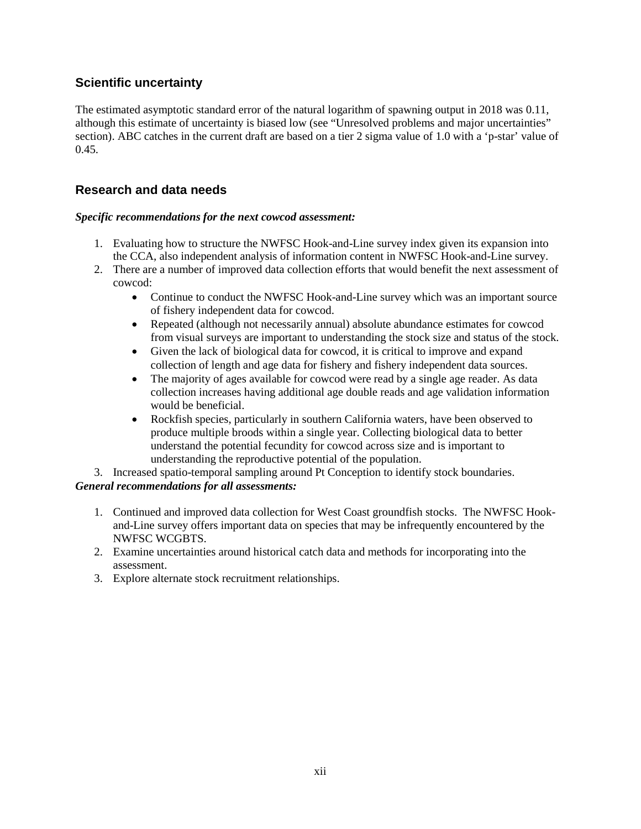## <span id="page-14-0"></span>**Scientific uncertainty**

The estimated asymptotic standard error of the natural logarithm of spawning output in 2018 was 0.11, although this estimate of uncertainty is biased low (see "Unresolved problems and major uncertainties" section). ABC catches in the current draft are based on a tier 2 sigma value of 1.0 with a 'p-star' value of 0.45.

## <span id="page-14-1"></span>**Research and data needs**

#### *Specific recommendations for the next cowcod assessment:*

- 1. Evaluating how to structure the NWFSC Hook-and-Line survey index given its expansion into the CCA, also independent analysis of information content in NWFSC Hook-and-Line survey.
- 2. There are a number of improved data collection efforts that would benefit the next assessment of cowcod:
	- Continue to conduct the NWFSC Hook-and-Line survey which was an important source of fishery independent data for cowcod.
	- Repeated (although not necessarily annual) absolute abundance estimates for cowcod from visual surveys are important to understanding the stock size and status of the stock.
	- Given the lack of biological data for cowcod, it is critical to improve and expand collection of length and age data for fishery and fishery independent data sources.
	- The majority of ages available for cowcod were read by a single age reader. As data collection increases having additional age double reads and age validation information would be beneficial.
	- Rockfish species, particularly in southern California waters, have been observed to produce multiple broods within a single year. Collecting biological data to better understand the potential fecundity for cowcod across size and is important to understanding the reproductive potential of the population.

3. Increased spatio-temporal sampling around Pt Conception to identify stock boundaries. *General recommendations for all assessments:*

- 1. Continued and improved data collection for West Coast groundfish stocks. The NWFSC Hookand-Line survey offers important data on species that may be infrequently encountered by the NWFSC WCGBTS.
- 2. Examine uncertainties around historical catch data and methods for incorporating into the assessment.
- 3. Explore alternate stock recruitment relationships.